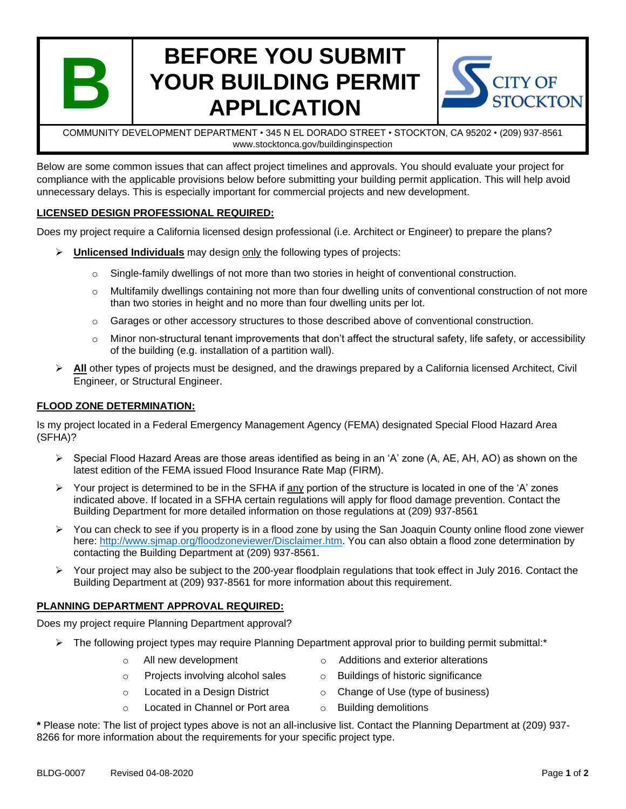

# **BEFORE YOU SUBMIT YOUR BUILDING PERMIT APPLICATION**



COMMUNITY DEVELOPMENT DEPARTMENT • 345 N EL DORADO STREET • STOCKTON, CA 95202 • (209) 937-8561 www.stocktonca.gov/buildinginspection

Below are some common issues that can affect project timelines and approvals. You should evaluate your project for compliance with the applicable provisions below before submitting your building permit application. This will help avoid unnecessary delays. This is especially important for commercial projects and new development.

# **LICENSED DESIGN PROFESSIONAL REQUIRED:**

Does my project require a California licensed design professional (i.e. Architect or Engineer) to prepare the plans?

- ➢ **Unlicensed Individuals** may design only the following types of projects:
	- $\circ$  Single-family dwellings of not more than two stories in height of conventional construction.
	- $\circ$  Multifamily dwellings containing not more than four dwelling units of conventional construction of not more than two stories in height and no more than four dwelling units per lot.
	- o Garages or other accessory structures to those described above of conventional construction.
	- $\circ$  Minor non-structural tenant improvements that don't affect the structural safety, life safety, or accessibility of the building (e.g. installation of a partition wall).
- ➢ **All** other types of projects must be designed, and the drawings prepared by a California licensed Architect, Civil Engineer, or Structural Engineer.

## **FLOOD ZONE DETERMINATION:**

Is my project located in a Federal Emergency Management Agency (FEMA) designated Special Flood Hazard Area (SFHA)?

- ➢ Special Flood Hazard Areas are those areas identified as being in an 'A' zone (A, AE, AH, AO) as shown on the latest edition of the FEMA issued Flood Insurance Rate Map (FIRM).
- ➢ Your project is determined to be in the SFHA if any portion of the structure is located in one of the 'A' zones indicated above. If located in a SFHA certain regulations will apply for flood damage prevention. Contact the Building Department for more detailed information on those regulations at (209) 937-8561
- ➢ You can check to see if you property is in a flood zone by using the San Joaquin County online flood zone viewer here: [http://www.sjmap.org/floodzoneviewer/Disclaimer.htm.](http://www.sjmap.org/floodzoneviewer/Disclaimer.htm) You can also obtain a flood zone determination by contacting the Building Department at (209) 937-8561.
- ➢ Your project may also be subject to the 200-year floodplain regulations that took effect in July 2016. Contact the Building Department at (209) 937-8561 for more information about this requirement.

# **PLANNING DEPARTMENT APPROVAL REQUIRED:**

Does my project require Planning Department approval?

- $\triangleright$  The following project types may require Planning Department approval prior to building permit submittal:\*
	-
	- $\circ$  Projects involving alcohol sales  $\circ$  Buildings of historic significance
	-
	- $\circ$  Located in Channel or Port area  $\circ$  Building demolitions
	- $\circ$  All new development  $\circ$  Additions and exterior alterations
		-
	- $\circ$  Located in a Design District  $\circ$  Change of Use (type of business)
		-

**\*** Please note: The list of project types above is not an all-inclusive list. Contact the Planning Department at (209) 937- 8266 for more information about the requirements for your specific project type.